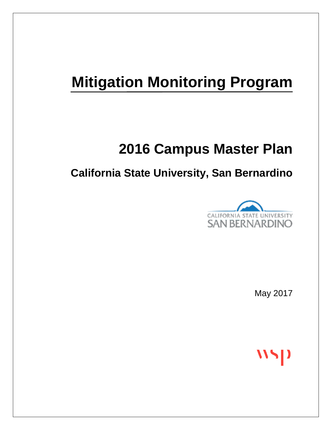# **Mitigation Monitoring Program**

## **2016 Campus Master Plan**

### **California State University, San Bernardino**



May 2017

 $\mathbf{N}$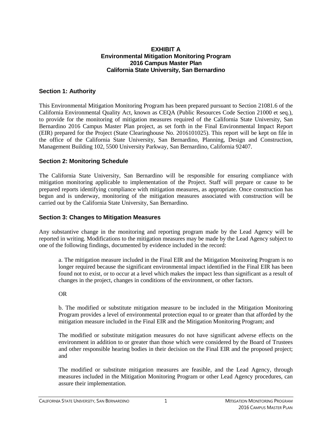#### **EXHIBIT A Environmental Mitigation Monitoring Program 2016 Campus Master Plan California State University, San Bernardino**

#### **Section 1: Authority**

This Environmental Mitigation Monitoring Program has been prepared pursuant to Section 21081.6 of the California Environmental Quality Act, known as CEQA (Public Resources Code Section 21000 et seq.), to provide for the monitoring of mitigation measures required of the California State University, San Bernardino 2016 Campus Master Plan project, as set forth in the Final Environmental Impact Report (EIR) prepared for the Project (State Clearinghouse No. 2016101025). This report will be kept on file in the office of the California State University, San Bernardino, Planning, Design and Construction, Management Building 102, 5500 University Parkway, San Bernardino, California 92407.

#### **Section 2: Monitoring Schedule**

The California State University, San Bernardino will be responsible for ensuring compliance with mitigation monitoring applicable to implementation of the Project. Staff will prepare or cause to be prepared reports identifying compliance with mitigation measures, as appropriate. Once construction has begun and is underway, monitoring of the mitigation measures associated with construction will be carried out by the California State University, San Bernardino.

#### **Section 3: Changes to Mitigation Measures**

Any substantive change in the monitoring and reporting program made by the Lead Agency will be reported in writing. Modifications to the mitigation measures may be made by the Lead Agency subject to one of the following findings, documented by evidence included in the record:

a. The mitigation measure included in the Final EIR and the Mitigation Monitoring Program is no longer required because the significant environmental impact identified in the Final EIR has been found not to exist, or to occur at a level which makes the impact less than significant as a result of changes in the project, changes in conditions of the environment, or other factors.

#### OR

b. The modified or substitute mitigation measure to be included in the Mitigation Monitoring Program provides a level of environmental protection equal to or greater than that afforded by the mitigation measure included in the Final EIR and the Mitigation Monitoring Program; and

The modified or substitute mitigation measures do not have significant adverse effects on the environment in addition to or greater than those which were considered by the Board of Trustees and other responsible hearing bodies in their decision on the Final EIR and the proposed project; and

The modified or substitute mitigation measures are feasible, and the Lead Agency, through measures included in the Mitigation Monitoring Program or other Lead Agency procedures, can assure their implementation.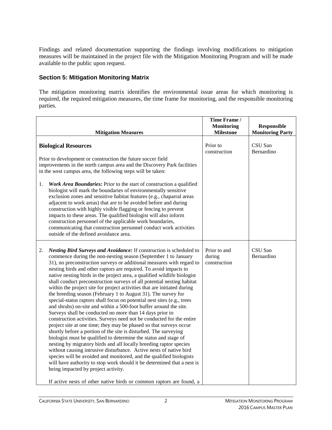Findings and related documentation supporting the findings involving modifications to mitigation measures will be maintained in the project file with the Mitigation Monitoring Program and will be made available to the public upon request.

#### **Section 5: Mitigation Monitoring Matrix**

The mitigation monitoring matrix identifies the environmental issue areas for which monitoring is required, the required mitigation measures, the time frame for monitoring, and the responsible monitoring parties.

|    | <b>Mitigation Measures</b>                                                                                                                                                                                                                                                                                                                                                                                                                                                                                                                                                                                                                                                                                                                                                                                                                                                                                                                                                                                                                                                                                                                                                                                                                                                                                                                                                                                                                                                                             | Time Frame /<br><b>Monitoring</b><br><b>Milestone</b> | Responsible<br><b>Monitoring Party</b> |
|----|--------------------------------------------------------------------------------------------------------------------------------------------------------------------------------------------------------------------------------------------------------------------------------------------------------------------------------------------------------------------------------------------------------------------------------------------------------------------------------------------------------------------------------------------------------------------------------------------------------------------------------------------------------------------------------------------------------------------------------------------------------------------------------------------------------------------------------------------------------------------------------------------------------------------------------------------------------------------------------------------------------------------------------------------------------------------------------------------------------------------------------------------------------------------------------------------------------------------------------------------------------------------------------------------------------------------------------------------------------------------------------------------------------------------------------------------------------------------------------------------------------|-------------------------------------------------------|----------------------------------------|
| 1. | <b>Biological Resources</b><br>Prior to development or construction the future soccer field<br>improvements in the north campus area and the Discovery Park facilities<br>in the west campus area, the following steps will be taken:<br>Work Area Boundaries: Prior to the start of construction a qualified<br>biologist will mark the boundaries of environmentally sensitive<br>exclusion zones and sensitive habitat features (e.g., chaparral areas<br>adjacent to work areas) that are to be avoided before and during<br>construction with highly visible flagging or fencing to prevent<br>impacts to these areas. The qualified biologist will also inform<br>construction personnel of the applicable work boundaries,<br>communicating that construction personnel conduct work activities<br>outside of the defined avoidance area.                                                                                                                                                                                                                                                                                                                                                                                                                                                                                                                                                                                                                                                       | Prior to<br>construction                              | CSU San<br>Bernardino                  |
| 2. | Nesting Bird Surveys and Avoidance: If construction is scheduled to<br>commence during the non-nesting season (September 1 to January<br>31), no preconstruction surveys or additional measures with regard to<br>nesting birds and other raptors are required. To avoid impacts to<br>native nesting birds in the project area, a qualified wildlife biologist<br>shall conduct preconstruction surveys of all potential nesting habitat<br>within the project site for project activities that are initiated during<br>the breeding season (February 1 to August 31). The survey for<br>special-status raptors shall focus on potential nest sites (e.g., trees<br>and shrubs) on-site and within a 500-foot buffer around the site.<br>Surveys shall be conducted no more than 14 days prior to<br>construction activities. Surveys need not be conducted for the entire<br>project site at one time; they may be phased so that surveys occur<br>shortly before a portion of the site is disturbed. The surveying<br>biologist must be qualified to determine the status and stage of<br>nesting by migratory birds and all locally breeding raptor species<br>without causing intrusive disturbance. Active nests of native bird<br>species will be avoided and monitored, and the qualified biologists<br>will have authority to stop work should it be determined that a nest is<br>being impacted by project activity.<br>If active nests of other native birds or common raptors are found, a | Prior to and<br>during<br>construction                | CSU San<br>Bernardino                  |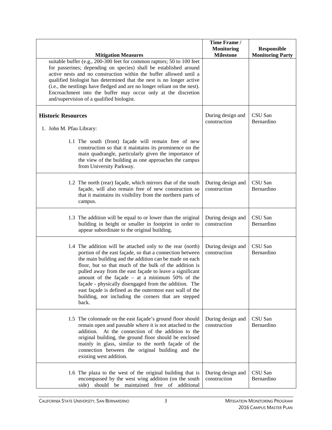| <b>Mitigation Measures</b>                                                                                                                                                                                                                                                                                                                                                                                                                                                                                                                      | Time Frame /<br><b>Monitoring</b><br><b>Milestone</b> | <b>Responsible</b><br><b>Monitoring Party</b> |
|-------------------------------------------------------------------------------------------------------------------------------------------------------------------------------------------------------------------------------------------------------------------------------------------------------------------------------------------------------------------------------------------------------------------------------------------------------------------------------------------------------------------------------------------------|-------------------------------------------------------|-----------------------------------------------|
| suitable buffer (e.g., 200-300 feet for common raptors; 50 to 100 feet<br>for passerines; depending on species) shall be established around<br>active nests and no construction within the buffer allowed until a<br>qualified biologist has determined that the nest is no longer active<br>(i.e., the nestlings have fledged and are no longer reliant on the nest).<br>Encroachment into the buffer may occur only at the discretion<br>and/supervision of a qualified biologist.                                                            |                                                       |                                               |
| <b>Historic Resources</b><br>1. John M. Pfau Library:                                                                                                                                                                                                                                                                                                                                                                                                                                                                                           | During design and<br>construction                     | CSU San<br>Bernardino                         |
| 1.1 The south (front) façade will remain free of new<br>construction so that it maintains its prominence on the<br>main quadrangle, particularly given the importance of<br>the view of the building as one approaches the campus<br>from University Parkway.                                                                                                                                                                                                                                                                                   |                                                       |                                               |
| 1.2 The north (rear) façade, which mirrors that of the south<br>façade, will also remain free of new construction so<br>that it maintains its visibility from the northern parts of<br>campus.                                                                                                                                                                                                                                                                                                                                                  | During design and<br>construction                     | CSU San<br>Bernardino                         |
| 1.3 The addition will be equal to or lower than the original<br>building in height or smaller in footprint in order to<br>appear subordinate to the original building.                                                                                                                                                                                                                                                                                                                                                                          | During design and<br>construction                     | CSU San<br>Bernardino                         |
| 1.4 The addition will be attached only to the rear (north)<br>portion of the east façade, so that a connection between<br>the main building and the addition can be made on each<br>floor, but so that much of the bulk of the addition is<br>pulled away from the east façade to leave a significant<br>amount of the façade $-$ at a minimum 50% of the<br>façade - physically disengaged from the addition. The<br>east façade is defined as the outermost east wall of the<br>building, not including the corners that are stepped<br>back. | During design and<br>construction                     | CSU San<br>Bernardino                         |
| 1.5 The colonnade on the east façade's ground floor should<br>remain open and passable where it is not attached to the<br>addition. At the connection of the addition to the<br>original building, the ground floor should be enclosed<br>mainly in glass, similar to the north façade of the<br>connection between the original building and the<br>existing west addition.                                                                                                                                                                    | During design and<br>construction                     | CSU San<br>Bernardino                         |
| 1.6 The plaza to the west of the original building that is<br>encompassed by the west wing addition (on the south<br>side) should be maintained free of additional                                                                                                                                                                                                                                                                                                                                                                              | During design and<br>construction                     | CSU San<br>Bernardino                         |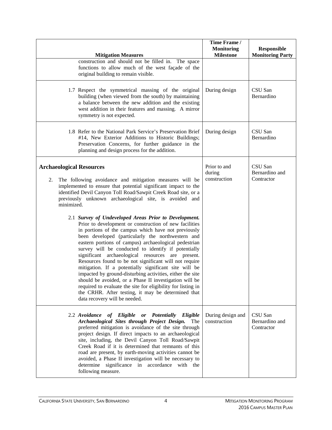| <b>Mitigation Measures</b>                                                                                                                                                                                                                                                                                                                                                                                                                                                                                                                                                                                                                                                                                                                                                 | Time Frame /<br><b>Monitoring</b><br><b>Milestone</b> | <b>Responsible</b><br><b>Monitoring Party</b> |
|----------------------------------------------------------------------------------------------------------------------------------------------------------------------------------------------------------------------------------------------------------------------------------------------------------------------------------------------------------------------------------------------------------------------------------------------------------------------------------------------------------------------------------------------------------------------------------------------------------------------------------------------------------------------------------------------------------------------------------------------------------------------------|-------------------------------------------------------|-----------------------------------------------|
| construction and should not be filled in. The space<br>functions to allow much of the west façade of the<br>original building to remain visible.                                                                                                                                                                                                                                                                                                                                                                                                                                                                                                                                                                                                                           |                                                       |                                               |
| 1.7 Respect the symmetrical massing of the original<br>building (when viewed from the south) by maintaining<br>a balance between the new addition and the existing<br>west addition in their features and massing. A mirror<br>symmetry is not expected.                                                                                                                                                                                                                                                                                                                                                                                                                                                                                                                   | During design                                         | CSU San<br>Bernardino                         |
| 1.8 Refer to the National Park Service's Preservation Brief<br>#14, New Exterior Additions to Historic Buildings;<br>Preservation Concerns, for further guidance in the<br>planning and design process for the addition.                                                                                                                                                                                                                                                                                                                                                                                                                                                                                                                                                   | During design                                         | CSU San<br>Bernardino                         |
| <b>Archaeological Resources</b><br>The following avoidance and mitigation measures will be<br>2.<br>implemented to ensure that potential significant impact to the<br>identified Devil Canyon Toll Road/Sawpit Creek Road site, or a<br>previously unknown archaeological site, is avoided and<br>minimized.<br>2.1 Survey of Undeveloped Areas Prior to Development.<br>Prior to development or construction of new facilities<br>in portions of the campus which have not previously<br>been developed (particularly the northwestern and<br>eastern portions of campus) archaeological pedestrian<br>survey will be conducted to identify if potentially<br>significant archaeological resources are present.<br>Resources found to be not significant will not require | Prior to and<br>during<br>construction                | CSU San<br>Bernardino and<br>Contractor       |
| mitigation. If a potentially significant site will be<br>impacted by ground-disturbing activities, either the site<br>should be avoided, or a Phase II investigation will be<br>required to evaluate the site for eligibility for listing in<br>the CRHR. After testing, it may be determined that<br>data recovery will be needed.                                                                                                                                                                                                                                                                                                                                                                                                                                        |                                                       |                                               |
| 2.2 Avoidance of Eligible or Potentially Eligible<br>Archaeological Sites through Project Design.<br>The<br>preferred mitigation is avoidance of the site through<br>project design. If direct impacts to an archaeological<br>site, including, the Devil Canyon Toll Road/Sawpit<br>Creek Road if it is determined that remnants of this<br>road are present, by earth-moving activities cannot be<br>avoided, a Phase II investigation will be necessary to<br>determine significance in accordance with the<br>following measure.                                                                                                                                                                                                                                       | During design and<br>construction                     | CSU San<br>Bernardino and<br>Contractor       |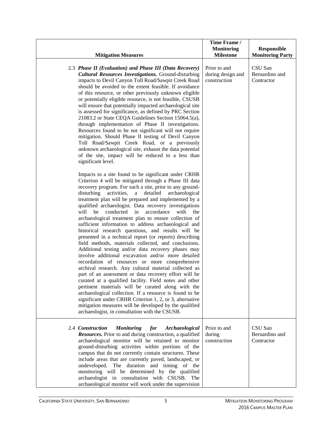|                                                                                                                                                                                                                                                                                                                                                                                                                                                                                                                                                                                                                                                                                                                                                                                                                                                                                                                                                                                                                                                                                                                                                                                                                                                                                                                                                              | Time Frame /<br><b>Monitoring</b>                 | <b>Responsible</b>                      |
|--------------------------------------------------------------------------------------------------------------------------------------------------------------------------------------------------------------------------------------------------------------------------------------------------------------------------------------------------------------------------------------------------------------------------------------------------------------------------------------------------------------------------------------------------------------------------------------------------------------------------------------------------------------------------------------------------------------------------------------------------------------------------------------------------------------------------------------------------------------------------------------------------------------------------------------------------------------------------------------------------------------------------------------------------------------------------------------------------------------------------------------------------------------------------------------------------------------------------------------------------------------------------------------------------------------------------------------------------------------|---------------------------------------------------|-----------------------------------------|
| <b>Mitigation Measures</b>                                                                                                                                                                                                                                                                                                                                                                                                                                                                                                                                                                                                                                                                                                                                                                                                                                                                                                                                                                                                                                                                                                                                                                                                                                                                                                                                   | <b>Milestone</b>                                  | <b>Monitoring Party</b>                 |
| 2.3 Phase II (Evaluation) and Phase III (Data Recovery)<br><b>Cultural Resources Investigations.</b> Ground-disturbing<br>impacts to Devil Canyon Toll Road/Sawpit Creek Road<br>should be avoided to the extent feasible. If avoidance<br>of this resource, or other previously unknown eligible<br>or potentially eligible resource, is not feasible, CSUSB<br>will ensure that potentially impacted archaeological site<br>is assessed for significance, as defined by PRC Section<br>21083.2 or State CEQA Guidelines Section 15064.5(a),<br>through implementation of Phase II investigations.<br>Resources found to be not significant will not require<br>mitigation. Should Phase II testing of Devil Canyon<br>Toll Road/Sawpit Creek Road, or a previously<br>unknown archaeological site, exhaust the data potential<br>of the site, impact will be reduced to a less than<br>significant level.                                                                                                                                                                                                                                                                                                                                                                                                                                                  | Prior to and<br>during design and<br>construction | CSU San<br>Bernardino and<br>Contractor |
| Impacts to a site found to be significant under CRHR<br>Criterion 4 will be mitigated through a Phase III data<br>recovery program. For such a site, prior to any ground-<br>disturbing<br>detailed<br>activities,<br>$\rm{a}$<br>archaeological<br>treatment plan will be prepared and implemented by a<br>qualified archaeologist. Data recovery investigations<br>will<br>conducted<br>in<br>be<br>accordance<br>with<br>the<br>archaeological treatment plan to ensure collection of<br>sufficient information to address archaeological and<br>historical research questions, and results will be<br>presented in a technical report (or reports) describing<br>field methods, materials collected, and conclusions.<br>Additional testing and/or data recovery phases may<br>involve additional excavation and/or more detailed<br>recordation of resources or more comprehensive<br>archival research. Any cultural material collected as<br>part of an assessment or data recovery effort will be<br>curated at a qualified facility. Field notes and other<br>pertinent materials will be curated along with the<br>archaeological collection. If a resource is found to be<br>significant under CRHR Criterion 1, 2, or 3, alternative<br>mitigation measures will be developed by the qualified<br>archaeologist, in consultation with the CSUSB. |                                                   |                                         |
| 2.4 Construction<br><b>Monitoring</b><br>for<br>Archaeological<br><b>Resources.</b> Prior to and during construction, a qualified<br>archaeological monitor will be retained to monitor<br>ground-disturbing activities within portions of the<br>campus that do not currently contain structures. These<br>include areas that are currently paved, landscaped, or<br>undeveloped. The duration and timing of the<br>monitoring will be determined by the qualified<br>archaeologist in consultation with CSUSB. The<br>archaeological monitor will work under the supervision                                                                                                                                                                                                                                                                                                                                                                                                                                                                                                                                                                                                                                                                                                                                                                               | Prior to and<br>during<br>construction            | CSU San<br>Bernardino and<br>Contractor |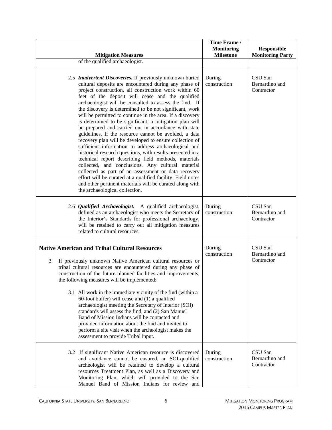| <b>Mitigation Measures</b><br>of the qualified archaeologist.                                                                                                                                                                                                                                                                                                                                                                                                                                                                                                                                                                                                                                                                                                                                                                                                                                                                                                                                                                                                                                                   | Time Frame /<br><b>Monitoring</b><br><b>Milestone</b> | <b>Responsible</b><br><b>Monitoring Party</b> |
|-----------------------------------------------------------------------------------------------------------------------------------------------------------------------------------------------------------------------------------------------------------------------------------------------------------------------------------------------------------------------------------------------------------------------------------------------------------------------------------------------------------------------------------------------------------------------------------------------------------------------------------------------------------------------------------------------------------------------------------------------------------------------------------------------------------------------------------------------------------------------------------------------------------------------------------------------------------------------------------------------------------------------------------------------------------------------------------------------------------------|-------------------------------------------------------|-----------------------------------------------|
| 2.5 Inadvertent Discoveries. If previously unknown buried<br>cultural deposits are encountered during any phase of<br>project construction, all construction work within 60<br>feet of the deposit will cease and the qualified<br>archaeologist will be consulted to assess the find. If<br>the discovery is determined to be not significant, work<br>will be permitted to continue in the area. If a discovery<br>is determined to be significant, a mitigation plan will<br>be prepared and carried out in accordance with state<br>guidelines. If the resource cannot be avoided, a data<br>recovery plan will be developed to ensure collection of<br>sufficient information to address archaeological and<br>historical research questions, with results presented in a<br>technical report describing field methods, materials<br>collected, and conclusions. Any cultural material<br>collected as part of an assessment or data recovery<br>effort will be curated at a qualified facility. Field notes<br>and other pertinent materials will be curated along with<br>the archaeological collection. | During<br>construction                                | CSU San<br>Bernardino and<br>Contractor       |
| 2.6 Qualified Archaeologist. A qualified archaeologist,<br>defined as an archaeologist who meets the Secretary of<br>the Interior's Standards for professional archaeology,<br>will be retained to carry out all mitigation measures<br>related to cultural resources.                                                                                                                                                                                                                                                                                                                                                                                                                                                                                                                                                                                                                                                                                                                                                                                                                                          | During<br>construction                                | CSU San<br>Bernardino and<br>Contractor       |
| <b>Native American and Tribal Cultural Resources</b><br>3.<br>If previously unknown Native American cultural resources or<br>tribal cultural resources are encountered during any phase of<br>construction of the future planned facilities and improvements,<br>the following measures will be implemented:<br>3.1 All work in the immediate vicinity of the find (within a<br>$60$ -foot buffer) will cease and $(1)$ a qualified<br>archaeologist meeting the Secretary of Interior (SOI)<br>standards will assess the find, and (2) San Manuel<br>Band of Mission Indians will be contacted and<br>provided information about the find and invited to<br>perform a site visit when the archeologist makes the<br>assessment to provide Tribal input.                                                                                                                                                                                                                                                                                                                                                        | During<br>construction                                | CSU San<br>Bernardino and<br>Contractor       |
| 3.2 If significant Native American resource is discovered<br>and avoidance cannot be ensured, an SOI-qualified<br>archeologist will be retained to develop a cultural<br>resources Treatment Plan, as well as a Discovery and<br>Monitoring Plan, which will provided to the San<br>Manuel Band of Mission Indians for review and                                                                                                                                                                                                                                                                                                                                                                                                                                                                                                                                                                                                                                                                                                                                                                               | During<br>construction                                | CSU San<br>Bernardino and<br>Contractor       |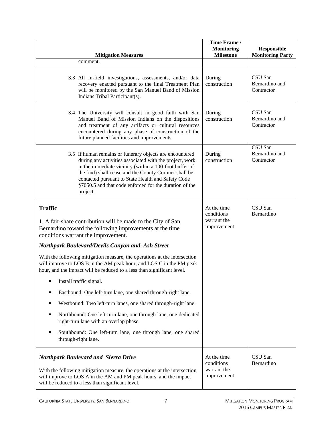|                                                                                                                                                                                                                                                                                                                                                                                                                                                                                                       | Time Frame /<br><b>Monitoring</b>                       | Responsible                             |
|-------------------------------------------------------------------------------------------------------------------------------------------------------------------------------------------------------------------------------------------------------------------------------------------------------------------------------------------------------------------------------------------------------------------------------------------------------------------------------------------------------|---------------------------------------------------------|-----------------------------------------|
| <b>Mitigation Measures</b>                                                                                                                                                                                                                                                                                                                                                                                                                                                                            | <b>Milestone</b>                                        | <b>Monitoring Party</b>                 |
| comment.                                                                                                                                                                                                                                                                                                                                                                                                                                                                                              |                                                         |                                         |
| 3.3 All in-field investigations, assessments, and/or data<br>recovery enacted pursuant to the final Treatment Plan<br>will be monitored by the San Manuel Band of Mission<br>Indians Tribal Participant(s).                                                                                                                                                                                                                                                                                           | During<br>construction                                  | CSU San<br>Bernardino and<br>Contractor |
| 3.4 The University will consult in good faith with San<br>Manuel Band of Mission Indians on the dispositions<br>and treatment of any artifacts or cultural resources<br>encountered during any phase of construction of the<br>future planned facilities and improvements.                                                                                                                                                                                                                            | During<br>construction                                  | CSU San<br>Bernardino and<br>Contractor |
| 3.5 If human remains or funerary objects are encountered<br>during any activities associated with the project, work<br>in the immediate vicinity (within a 100-foot buffer of<br>the find) shall cease and the County Coroner shall be<br>contacted pursuant to State Health and Safety Code<br>§7050.5 and that code enforced for the duration of the<br>project.                                                                                                                                    | During<br>construction                                  | CSU San<br>Bernardino and<br>Contractor |
| <b>Traffic</b><br>1. A fair-share contribution will be made to the City of San<br>Bernardino toward the following improvements at the time<br>conditions warrant the improvement.<br><b>Northpark Boulevard/Devils Canyon and Ash Street</b><br>With the following mitigation measure, the operations at the intersection<br>will improve to LOS B in the AM peak hour, and LOS C in the PM peak<br>hour, and the impact will be reduced to a less than significant level.<br>Install traffic signal. | At the time<br>conditions<br>warrant the<br>improvement | CSU San<br>Bernardino                   |
| Eastbound: One left-turn lane, one shared through-right lane.                                                                                                                                                                                                                                                                                                                                                                                                                                         |                                                         |                                         |
| Westbound: Two left-turn lanes, one shared through-right lane.<br>٠                                                                                                                                                                                                                                                                                                                                                                                                                                   |                                                         |                                         |
| Northbound: One left-turn lane, one through lane, one dedicated<br>٠<br>right-turn lane with an overlap phase.                                                                                                                                                                                                                                                                                                                                                                                        |                                                         |                                         |
| Southbound: One left-turn lane, one through lane, one shared<br>through-right lane.                                                                                                                                                                                                                                                                                                                                                                                                                   |                                                         |                                         |
| <b>Northpark Boulevard and Sierra Drive</b><br>With the following mitigation measure, the operations at the intersection<br>will improve to LOS A in the AM and PM peak hours, and the impact<br>will be reduced to a less than significant level.                                                                                                                                                                                                                                                    | At the time<br>conditions<br>warrant the<br>improvement | CSU San<br>Bernardino                   |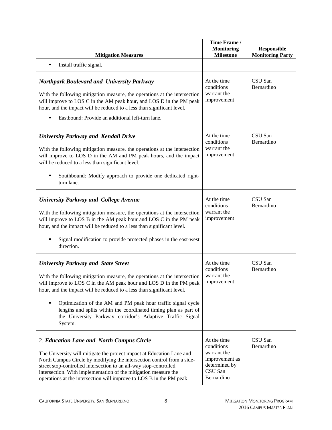|                                                                                                                                                                                                                                                                                                                                                                                                                                                                                          | Time Frame /<br><b>Monitoring</b>                                                                    | <b>Responsible</b>      |
|------------------------------------------------------------------------------------------------------------------------------------------------------------------------------------------------------------------------------------------------------------------------------------------------------------------------------------------------------------------------------------------------------------------------------------------------------------------------------------------|------------------------------------------------------------------------------------------------------|-------------------------|
| <b>Mitigation Measures</b>                                                                                                                                                                                                                                                                                                                                                                                                                                                               | <b>Milestone</b>                                                                                     | <b>Monitoring Party</b> |
| Install traffic signal.<br>٠                                                                                                                                                                                                                                                                                                                                                                                                                                                             |                                                                                                      |                         |
| <b>Northpark Boulevard and University Parkway</b><br>With the following mitigation measure, the operations at the intersection<br>will improve to LOS C in the AM peak hour, and LOS D in the PM peak<br>hour, and the impact will be reduced to a less than significant level.<br>Eastbound: Provide an additional left-turn lane.<br>٠                                                                                                                                                 | At the time<br>conditions<br>warrant the<br>improvement                                              | CSU San<br>Bernardino   |
| <b>University Parkway and Kendall Drive</b><br>With the following mitigation measure, the operations at the intersection<br>will improve to LOS D in the AM and PM peak hours, and the impact<br>will be reduced to a less than significant level.<br>Southbound: Modify approach to provide one dedicated right-<br>٠<br>turn lane.                                                                                                                                                     | At the time<br>conditions<br>warrant the<br>improvement                                              | CSU San<br>Bernardino   |
| <b>University Parkway and College Avenue</b><br>With the following mitigation measure, the operations at the intersection<br>will improve to LOS B in the AM peak hour and LOS C in the PM peak<br>hour, and the impact will be reduced to a less than significant level.<br>Signal modification to provide protected phases in the east-west<br>direction.                                                                                                                              | At the time<br>conditions<br>warrant the<br>improvement                                              | CSU San<br>Bernardino   |
| <b>University Parkway and State Street</b><br>With the following mitigation measure, the operations at the intersection<br>will improve to LOS C in the AM peak hour and LOS D in the PM peak<br>hour, and the impact will be reduced to a less than significant level.<br>Optimization of the AM and PM peak hour traffic signal cycle<br>٠<br>lengths and splits within the coordinated timing plan as part of<br>the University Parkway corridor's Adaptive Traffic Signal<br>System. | At the time<br>conditions<br>warrant the<br>improvement                                              | CSU San<br>Bernardino   |
| 2. Education Lane and North Campus Circle<br>The University will mitigate the project impact at Education Lane and<br>North Campus Circle by modifying the intersection control from a side-<br>street stop-controlled intersection to an all-way stop-controlled<br>intersection. With implementation of the mitigation measure the<br>operations at the intersection will improve to LOS B in the PM peak                                                                              | At the time<br>conditions<br>warrant the<br>improvement as<br>determined by<br>CSU San<br>Bernardino | CSU San<br>Bernardino   |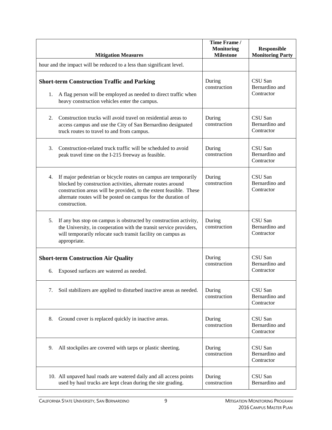| <b>Mitigation Measures</b>                                                                                                                                                                                                                                                                   | Time Frame /<br><b>Monitoring</b><br><b>Milestone</b> | <b>Responsible</b><br><b>Monitoring Party</b> |
|----------------------------------------------------------------------------------------------------------------------------------------------------------------------------------------------------------------------------------------------------------------------------------------------|-------------------------------------------------------|-----------------------------------------------|
| hour and the impact will be reduced to a less than significant level.                                                                                                                                                                                                                        |                                                       |                                               |
| <b>Short-term Construction Traffic and Parking</b><br>A flag person will be employed as needed to direct traffic when<br>1.<br>heavy construction vehicles enter the campus.                                                                                                                 | During<br>construction                                | CSU San<br>Bernardino and<br>Contractor       |
| Construction trucks will avoid travel on residential areas to<br>2.<br>access campus and use the City of San Bernardino designated<br>truck routes to travel to and from campus.                                                                                                             | During<br>construction                                | CSU San<br>Bernardino and<br>Contractor       |
| Construction-related truck traffic will be scheduled to avoid<br>3.<br>peak travel time on the I-215 freeway as feasible.                                                                                                                                                                    | During<br>construction                                | CSU San<br>Bernardino and<br>Contractor       |
| 4.<br>If major pedestrian or bicycle routes on campus are temporarily<br>blocked by construction activities, alternate routes around<br>construction areas will be provided, to the extent feasible. These<br>alternate routes will be posted on campus for the duration of<br>construction. | During<br>construction                                | CSU San<br>Bernardino and<br>Contractor       |
| If any bus stop on campus is obstructed by construction activity,<br>5.<br>the University, in cooperation with the transit service providers,<br>will temporarily relocate such transit facility on campus as<br>appropriate.                                                                | During<br>construction                                | CSU San<br>Bernardino and<br>Contractor       |
| <b>Short-term Construction Air Quality</b><br>Exposed surfaces are watered as needed.<br>6.                                                                                                                                                                                                  | During<br>construction                                | CSU San<br>Bernardino and<br>Contractor       |
| Soil stabilizers are applied to disturbed inactive areas as needed.<br>7.                                                                                                                                                                                                                    | During<br>construction                                | CSU San<br>Bernardino and<br>Contractor       |
| 8.<br>Ground cover is replaced quickly in inactive areas.                                                                                                                                                                                                                                    | During<br>construction                                | CSU San<br>Bernardino and<br>Contractor       |
| 9.<br>All stockpiles are covered with tarps or plastic sheeting.                                                                                                                                                                                                                             | During<br>construction                                | CSU San<br>Bernardino and<br>Contractor       |
| 10. All unpaved haul roads are watered daily and all access points<br>used by haul trucks are kept clean during the site grading.                                                                                                                                                            | During<br>construction                                | CSU San<br>Bernardino and                     |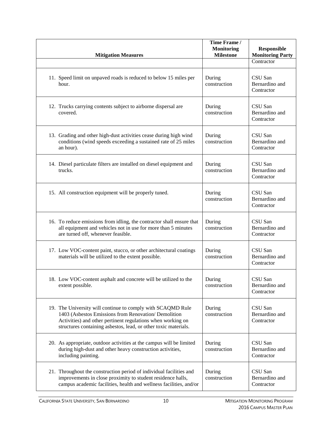| <b>Mitigation Measures</b>                                                                                                                                                                                                                            | Time Frame /<br><b>Monitoring</b><br><b>Milestone</b> | <b>Responsible</b><br><b>Monitoring Party</b> |
|-------------------------------------------------------------------------------------------------------------------------------------------------------------------------------------------------------------------------------------------------------|-------------------------------------------------------|-----------------------------------------------|
|                                                                                                                                                                                                                                                       |                                                       | Contractor                                    |
| 11. Speed limit on unpaved roads is reduced to below 15 miles per<br>hour.                                                                                                                                                                            | During<br>construction                                | CSU San<br>Bernardino and<br>Contractor       |
| 12. Trucks carrying contents subject to airborne dispersal are<br>covered.                                                                                                                                                                            | During<br>construction                                | CSU San<br>Bernardino and<br>Contractor       |
| 13. Grading and other high-dust activities cease during high wind<br>conditions (wind speeds exceeding a sustained rate of 25 miles<br>an hour).                                                                                                      | During<br>construction                                | CSU San<br>Bernardino and<br>Contractor       |
| 14. Diesel particulate filters are installed on diesel equipment and<br>trucks.                                                                                                                                                                       | During<br>construction                                | CSU San<br>Bernardino and<br>Contractor       |
| 15. All construction equipment will be properly tuned.                                                                                                                                                                                                | During<br>construction                                | CSU San<br>Bernardino and<br>Contractor       |
| 16. To reduce emissions from idling, the contractor shall ensure that<br>all equipment and vehicles not in use for more than 5 minutes<br>are turned off, whenever feasible.                                                                          | During<br>construction                                | CSU San<br>Bernardino and<br>Contractor       |
| 17. Low VOC-content paint, stucco, or other architectural coatings<br>materials will be utilized to the extent possible.                                                                                                                              | During<br>construction                                | CSU San<br>Bernardino and<br>Contractor       |
| 18. Low VOC-content asphalt and concrete will be utilized to the<br>extent possible.                                                                                                                                                                  | During<br>construction                                | CSU San<br>Bernardino and<br>Contractor       |
| 19. The University will continue to comply with SCAQMD Rule<br>1403 (Asbestos Emissions from Renovation/ Demolition<br>Activities) and other pertinent regulations when working on<br>structures containing asbestos, lead, or other toxic materials. | During<br>construction                                | CSU San<br>Bernardino and<br>Contractor       |
| 20. As appropriate, outdoor activities at the campus will be limited<br>during high-dust and other heavy construction activities,<br>including painting.                                                                                              | During<br>construction                                | CSU San<br>Bernardino and<br>Contractor       |
| 21. Throughout the construction period of individual facilities and<br>improvements in close proximity to student residence halls,<br>campus academic facilities, health and wellness facilities, and/or                                              | During<br>construction                                | CSU San<br>Bernardino and<br>Contractor       |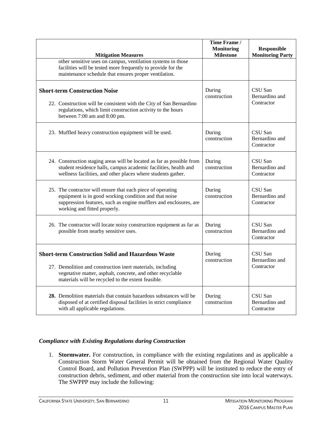| <b>Mitigation Measures</b>                                                                                                                                                                                                                 | Time Frame /<br><b>Monitoring</b><br><b>Milestone</b> | <b>Responsible</b><br><b>Monitoring Party</b> |
|--------------------------------------------------------------------------------------------------------------------------------------------------------------------------------------------------------------------------------------------|-------------------------------------------------------|-----------------------------------------------|
| other sensitive uses on campus, ventilation systems in those<br>facilities will be tested more frequently to provide for the<br>maintenance schedule that ensures proper ventilation.                                                      |                                                       |                                               |
| <b>Short-term Construction Noise</b><br>22. Construction will be consistent with the City of San Bernardino<br>regulations, which limit construction activity to the hours<br>between 7:00 am and 8:00 pm.                                 | During<br>construction                                | CSU San<br>Bernardino and<br>Contractor       |
| 23. Muffled heavy construction equipment will be used.                                                                                                                                                                                     | During<br>construction                                | CSU San<br>Bernardino and<br>Contractor       |
| 24. Construction staging areas will be located as far as possible from<br>student residence halls, campus academic facilities, health and<br>wellness facilities, and other places where students gather.                                  | During<br>construction                                | CSU San<br>Bernardino and<br>Contractor       |
| 25. The contractor will ensure that each piece of operating<br>equipment is in good working condition and that noise<br>suppression features, such as engine mufflers and enclosures, are<br>working and fitted properly.                  | During<br>construction                                | CSU San<br>Bernardino and<br>Contractor       |
| 26. The contractor will locate noisy construction equipment as far as<br>possible from nearby sensitive uses.                                                                                                                              | During<br>construction                                | CSU San<br>Bernardino and<br>Contractor       |
| <b>Short-term Construction Solid and Hazardous Waste</b><br>27. Demolition and construction inert materials, including<br>vegetative matter, asphalt, concrete, and other recyclable<br>materials will be recycled to the extent feasible. | During<br>construction                                | CSU San<br>Bernardino and<br>Contractor       |
| 28. Demolition materials that contain hazardous substances will be<br>disposed of at certified disposal facilities in strict compliance<br>with all applicable regulations.                                                                | During<br>construction                                | CSU San<br>Bernardino and<br>Contractor       |

#### *Compliance with Existing Regulations during Construction*

1. **Stormwater.** For construction, in compliance with the existing regulations and as applicable a Construction Storm Water General Permit will be obtained from the Regional Water Quality Control Board, and Pollution Prevention Plan (SWPPP) will be instituted to reduce the entry of construction debris, sediment, and other material from the construction site into local waterways. The SWPPP may include the following: